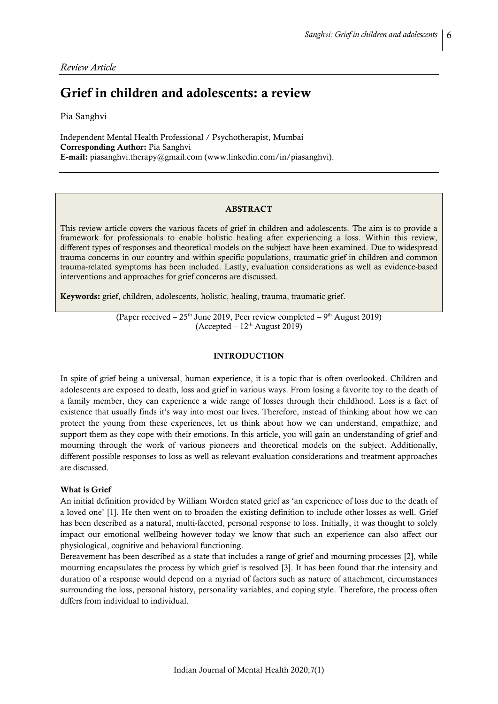*Review Article*

# Grief in children and adolescents: a review

Pia Sanghvi

Independent Mental Health Professional / Psychotherapist, Mumbai Corresponding Author: Pia Sanghvi E-mail: piasanghvi.therapy@gmail.com [\(www.linkedin.com/in/p](http://www.linkedin.com/in/)iasanghvi).

#### ABSTRACT

This review article covers the various facets of grief in children and adolescents. The aim is to provide a framework for professionals to enable holistic healing after experiencing a loss. Within this review, different types of responses and theoretical models on the subject have been examined. Due to widespread trauma concerns in our country and within specific populations, traumatic grief in children and common trauma-related symptoms has been included. Lastly, evaluation considerations as well as evidence-based interventions and approaches for grief concerns are discussed.

Keywords: grief, children, adolescents, holistic, healing, trauma, traumatic grief.

(Paper received  $-25<sup>th</sup>$  June 2019, Peer review completed  $-9<sup>th</sup>$  August 2019)  $(Accepted – 12<sup>th</sup> August 2019)$ 

#### INTRODUCTION

In spite of grief being a universal, human experience, it is a topic that is often overlooked. Children and adolescents are exposed to death, loss and grief in various ways. From losing a favorite toy to the death of a family member, they can experience a wide range of losses through their childhood. Loss is a fact of existence that usually finds it's way into most our lives. Therefore, instead of thinking about how we can protect the young from these experiences, let us think about how we can understand, empathize, and support them as they cope with their emotions. In this article, you will gain an understanding of grief and mourning through the work of various pioneers and theoretical models on the subject. Additionally, different possible responses to loss as well as relevant evaluation considerations and treatment approaches are discussed.

#### What is Grief

An initial definition provided by William Worden stated grief as 'an experience of loss due to the death of a loved one' [1]. He then went on to broaden the existing definition to include other losses as well. Grief has been described as a natural, multi-faceted, personal response to loss. Initially, it was thought to solely impact our emotional wellbeing however today we know that such an experience can also affect our physiological, cognitive and behavioral functioning.

Bereavement has been described as a state that includes a range of grief and mourning processes [2], while mourning encapsulates the process by which grief is resolved [3]. It has been found that the intensity and duration of a response would depend on a myriad of factors such as nature of attachment, circumstances surrounding the loss, personal history, personality variables, and coping style. Therefore, the process often differs from individual to individual.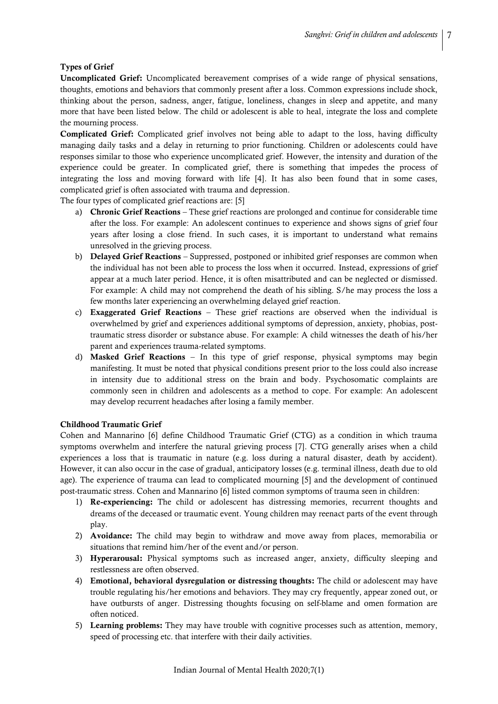# Types of Grief

Uncomplicated Grief: Uncomplicated bereavement comprises of a wide range of physical sensations, thoughts, emotions and behaviors that commonly present after a loss. Common expressions include shock, thinking about the person, sadness, anger, fatigue, loneliness, changes in sleep and appetite, and many more that have been listed below. The child or adolescent is able to heal, integrate the loss and complete the mourning process.

Complicated Grief: Complicated grief involves not being able to adapt to the loss, having difficulty managing daily tasks and a delay in returning to prior functioning. Children or adolescents could have responses similar to those who experience uncomplicated grief. However, the intensity and duration of the experience could be greater. In complicated grief, there is something that impedes the process of integrating the loss and moving forward with life [4]. It has also been found that in some cases, complicated grief is often associated with trauma and depression.

The four types of complicated grief reactions are: [5]

- a) Chronic Grief Reactions These grief reactions are prolonged and continue for considerable time after the loss. For example: An adolescent continues to experience and shows signs of grief four years after losing a close friend. In such cases, it is important to understand what remains unresolved in the grieving process.
- b) Delayed Grief Reactions Suppressed, postponed or inhibited grief responses are common when the individual has not been able to process the loss when it occurred. Instead, expressions of grief appear at a much later period. Hence, it is often misattributed and can be neglected or dismissed. For example: A child may not comprehend the death of his sibling. S/he may process the loss a few months later experiencing an overwhelming delayed grief reaction.
- c) Exaggerated Grief Reactions These grief reactions are observed when the individual is overwhelmed by grief and experiences additional symptoms of depression, anxiety, phobias, posttraumatic stress disorder or substance abuse. For example: A child witnesses the death of his/her parent and experiences trauma-related symptoms.
- d) Masked Grief Reactions In this type of grief response, physical symptoms may begin manifesting. It must be noted that physical conditions present prior to the loss could also increase in intensity due to additional stress on the brain and body. Psychosomatic complaints are commonly seen in children and adolescents as a method to cope. For example: An adolescent may develop recurrent headaches after losing a family member.

## Childhood Traumatic Grief

Cohen and Mannarino [6] define Childhood Traumatic Grief (CTG) as a condition in which trauma symptoms overwhelm and interfere the natural grieving process [7]. CTG generally arises when a child experiences a loss that is traumatic in nature (e.g. loss during a natural disaster, death by accident). However, it can also occur in the case of gradual, anticipatory losses (e.g. terminal illness, death due to old age). The experience of trauma can lead to complicated mourning [5] and the development of continued post-traumatic stress. Cohen and Mannarino [6] listed common symptoms of trauma seen in children:

- 1) Re-experiencing: The child or adolescent has distressing memories, recurrent thoughts and dreams of the deceased or traumatic event. Young children may reenact parts of the event through play.
- 2) Avoidance: The child may begin to withdraw and move away from places, memorabilia or situations that remind him/her of the event and/or person.
- 3) Hyperarousal: Physical symptoms such as increased anger, anxiety, difficulty sleeping and restlessness are often observed.
- 4) Emotional, behavioral dysregulation or distressing thoughts: The child or adolescent may have trouble regulating his/her emotions and behaviors. They may cry frequently, appear zoned out, or have outbursts of anger. Distressing thoughts focusing on self-blame and omen formation are often noticed.
- 5) Learning problems: They may have trouble with cognitive processes such as attention, memory, speed of processing etc. that interfere with their daily activities.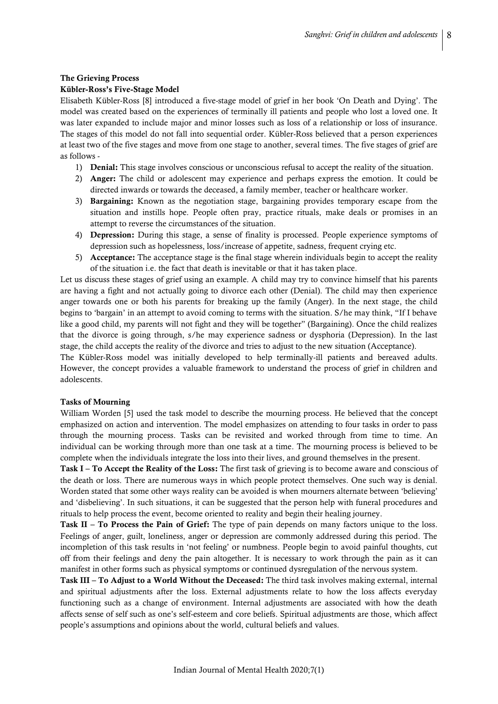#### The Grieving Process

#### Kübler-Ross's Five-Stage Model

Elisabeth Kübler-Ross [8] introduced a five-stage model of grief in her book 'On Death and Dying'. The model was created based on the experiences of terminally ill patients and people who lost a loved one. It was later expanded to include major and minor losses such as loss of a relationship or loss of insurance. The stages of this model do not fall into sequential order. Kübler-Ross believed that a person experiences at least two of the five stages and move from one stage to another, several times. The five stages of grief are as follows -

- 1) Denial: This stage involves conscious or unconscious refusal to accept the reality of the situation.
- 2) Anger: The child or adolescent may experience and perhaps express the emotion. It could be directed inwards or towards the deceased, a family member, teacher or healthcare worker.
- 3) Bargaining: Known as the negotiation stage, bargaining provides temporary escape from the situation and instills hope. People often pray, practice rituals, make deals or promises in an attempt to reverse the circumstances of the situation.
- 4) Depression: During this stage, a sense of finality is processed. People experience symptoms of depression such as hopelessness, loss/increase of appetite, sadness, frequent crying etc.
- 5) Acceptance: The acceptance stage is the final stage wherein individuals begin to accept the reality of the situation i.e. the fact that death is inevitable or that it has taken place.

Let us discuss these stages of grief using an example. A child may try to convince himself that his parents are having a fight and not actually going to divorce each other (Denial). The child may then experience anger towards one or both his parents for breaking up the family (Anger). In the next stage, the child begins to 'bargain' in an attempt to avoid coming to terms with the situation. S/he may think, "If I behave like a good child, my parents will not fight and they will be together" (Bargaining). Once the child realizes that the divorce is going through, s/he may experience sadness or dysphoria (Depression). In the last stage, the child accepts the reality of the divorce and tries to adjust to the new situation (Acceptance).

The Kübler-Ross model was initially developed to help terminally-ill patients and bereaved adults. However, the concept provides a valuable framework to understand the process of grief in children and adolescents.

## Tasks of Mourning

William Worden [5] used the task model to describe the mourning process. He believed that the concept emphasized on action and intervention. The model emphasizes on attending to four tasks in order to pass through the mourning process. Tasks can be revisited and worked through from time to time. An individual can be working through more than one task at a time. The mourning process is believed to be complete when the individuals integrate the loss into their lives, and ground themselves in the present.

Task I – To Accept the Reality of the Loss: The first task of grieving is to become aware and conscious of the death or loss. There are numerous ways in which people protect themselves. One such way is denial. Worden stated that some other ways reality can be avoided is when mourners alternate between 'believing' and 'disbelieving'. In such situations, it can be suggested that the person help with funeral procedures and rituals to help process the event, become oriented to reality and begin their healing journey.

Task II – To Process the Pain of Grief: The type of pain depends on many factors unique to the loss. Feelings of anger, guilt, loneliness, anger or depression are commonly addressed during this period. The incompletion of this task results in 'not feeling' or numbness. People begin to avoid painful thoughts, cut off from their feelings and deny the pain altogether. It is necessary to work through the pain as it can manifest in other forms such as physical symptoms or continued dysregulation of the nervous system.

Task III – To Adjust to a World Without the Deceased: The third task involves making external, internal and spiritual adjustments after the loss. External adjustments relate to how the loss affects everyday functioning such as a change of environment. Internal adjustments are associated with how the death affects sense of self such as one's self-esteem and core beliefs. Spiritual adjustments are those, which affect people's assumptions and opinions about the world, cultural beliefs and values.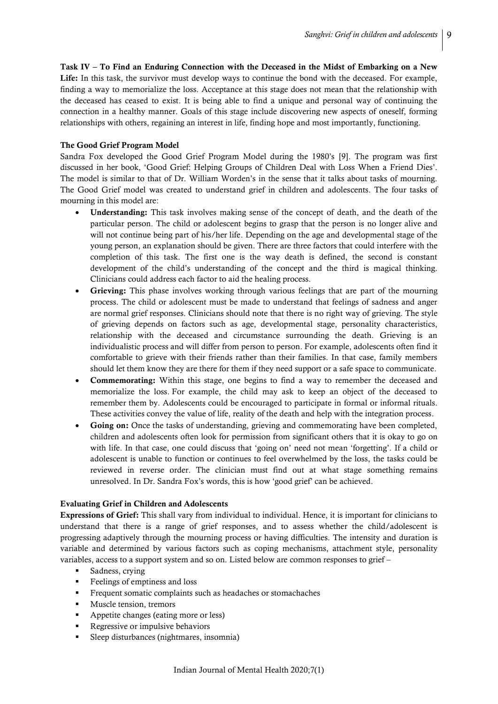Task IV – To Find an Enduring Connection with the Deceased in the Midst of Embarking on a New Life: In this task, the survivor must develop ways to continue the bond with the deceased. For example, finding a way to memorialize the loss. Acceptance at this stage does not mean that the relationship with the deceased has ceased to exist. It is being able to find a unique and personal way of continuing the connection in a healthy manner. Goals of this stage include discovering new aspects of oneself, forming relationships with others, regaining an interest in life, finding hope and most importantly, functioning.

## The Good Grief Program Model

Sandra Fox developed the Good Grief Program Model during the 1980's [9]. The program was first discussed in her book, 'Good Grief: Helping Groups of Children Deal with Loss When a Friend Dies'. The model is similar to that of Dr. William Worden's in the sense that it talks about tasks of mourning. The Good Grief model was created to understand grief in children and adolescents. The four tasks of mourning in this model are:

- Understanding: This task involves making sense of the concept of death, and the death of the particular person. The child or adolescent begins to grasp that the person is no longer alive and will not continue being part of his/her life. Depending on the age and developmental stage of the young person, an explanation should be given. There are three factors that could interfere with the completion of this task. The first one is the way death is defined, the second is constant development of the child's understanding of the concept and the third is magical thinking. Clinicians could address each factor to aid the healing process.
- Grieving: This phase involves working through various feelings that are part of the mourning process. The child or adolescent must be made to understand that feelings of sadness and anger are normal grief responses. Clinicians should note that there is no right way of grieving. The style of grieving depends on factors such as age, developmental stage, personality characteristics, relationship with the deceased and circumstance surrounding the death. Grieving is an individualistic process and will differ from person to person. For example, adolescents often find it comfortable to grieve with their friends rather than their families. In that case, family members should let them know they are there for them if they need support or a safe space to communicate.
- Commemorating: Within this stage, one begins to find a way to remember the deceased and memorialize the loss. For example, the child may ask to keep an object of the deceased to remember them by. Adolescents could be encouraged to participate in formal or informal rituals. These activities convey the value of life, reality of the death and help with the integration process.
- Going on: Once the tasks of understanding, grieving and commemorating have been completed, children and adolescents often look for permission from significant others that it is okay to go on with life. In that case, one could discuss that 'going on' need not mean 'forgetting'. If a child or adolescent is unable to function or continues to feel overwhelmed by the loss, the tasks could be reviewed in reverse order. The clinician must find out at what stage something remains unresolved. In Dr. Sandra Fox's words, this is how 'good grief' can be achieved.

#### Evaluating Grief in Children and Adolescents

Expressions of Grief: This shall vary from individual to individual. Hence, it is important for clinicians to understand that there is a range of grief responses, and to assess whether the child/adolescent is progressing adaptively through the mourning process or having difficulties. The intensity and duration is variable and determined by various factors such as coping mechanisms, attachment style, personality variables, access to a support system and so on. Listed below are common responses to grief –

- Sadness, crying
- Feelings of emptiness and loss
- Frequent somatic complaints such as headaches or stomachaches
- Muscle tension, tremors
- Appetite changes (eating more or less)
- Regressive or impulsive behaviors
- Sleep disturbances (nightmares, insomnia)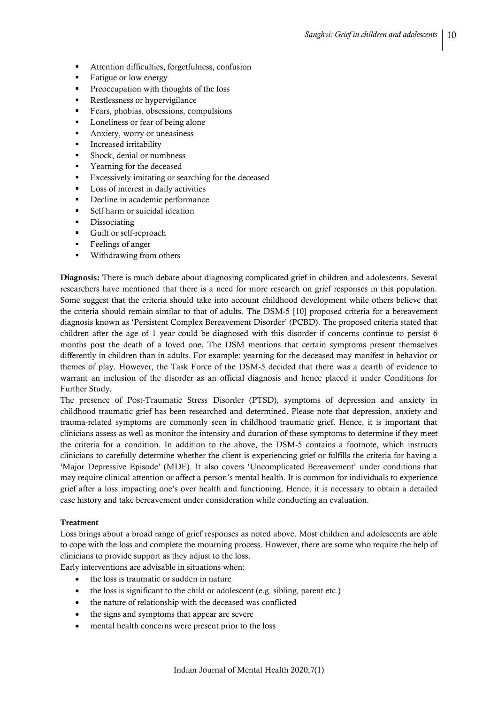- Attention difficulties, forgetfulness, confusion
- Fatigue or low energy
- **Preoccupation with thoughts of the loss**
- Restlessness or hypervigilance
- Fears, phobias, obsessions, compulsions
- Loneliness or fear of being alone
- Anxiety, worry or uneasiness
- **Increased irritability**
- Shock, denial or numbness
- Yearning for the deceased
- Excessively imitating or searching for the deceased
- **Loss of interest in daily activities**
- Decline in academic performance
- Self harm or suicidal ideation
- Dissociating
- Guilt or self-reproach
- Feelings of anger
- Withdrawing from others

Diagnosis: There is much debate about diagnosing complicated grief in children and adolescents. Several researchers have mentioned that there is a need for more research on grief responses in this population. Some suggest that the criteria should take into account childhood development while others believe that the criteria should remain similar to that of adults. The DSM-5 [10] proposed criteria for a bereavement diagnosis known as 'Persistent Complex Bereavement Disorder' (PCBD). The proposed criteria stated that children after the age of 1 year could be diagnosed with this disorder if concerns continue to persist 6 months post the death of a loved one. The DSM mentions that certain symptoms present themselves differently in children than in adults. For example: yearning for the deceased may manifest in behavior or themes of play. However, the Task Force of the DSM-5 decided that there was a dearth of evidence to warrant an inclusion of the disorder as an official diagnosis and hence placed it under Conditions for Further Study.

The presence of Post-Traumatic Stress Disorder (PTSD), symptoms of depression and anxiety in childhood traumatic grief has been researched and determined. Please note that depression, anxiety and trauma-related symptoms are commonly seen in childhood traumatic grief. Hence, it is important that clinicians assess as well as monitor the intensity and duration of these symptoms to determine if they meet the criteria for a condition. In addition to the above, the DSM-5 contains a footnote, which instructs clinicians to carefully determine whether the client is experiencing grief or fulfills the criteria for having a 'Major Depressive Episode' (MDE). It also covers 'Uncomplicated Bereavement' under conditions that may require clinical attention or affect a person's mental health. It is common for individuals to experience grief after a loss impacting one's over health and functioning. Hence, it is necessary to obtain a detailed case history and take bereavement under consideration while conducting an evaluation.

#### Treatment

Loss brings about a broad range of grief responses as noted above. Most children and adolescents are able to cope with the loss and complete the mourning process. However, there are some who require the help of clinicians to provide support as they adjust to the loss.

Early interventions are advisable in situations when:

- the loss is traumatic or sudden in nature
- the loss is significant to the child or adolescent (e.g. sibling, parent etc.)
- the nature of relationship with the deceased was conflicted
- the signs and symptoms that appear are severe
- mental health concerns were present prior to the loss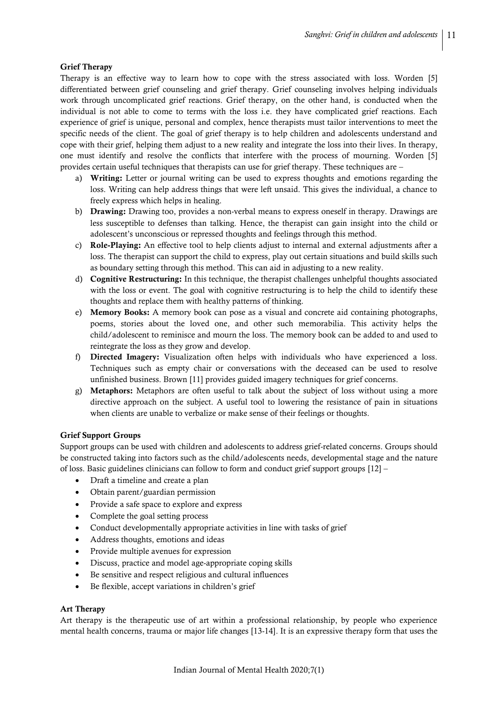## Grief Therapy

Therapy is an effective way to learn how to cope with the stress associated with loss. Worden [5] differentiated between grief counseling and grief therapy. Grief counseling involves helping individuals work through uncomplicated grief reactions. Grief therapy, on the other hand, is conducted when the individual is not able to come to terms with the loss i.e. they have complicated grief reactions. Each experience of grief is unique, personal and complex, hence therapists must tailor interventions to meet the specific needs of the client. The goal of grief therapy is to help children and adolescents understand and cope with their grief, helping them adjust to a new reality and integrate the loss into their lives. In therapy, one must identify and resolve the conflicts that interfere with the process of mourning. Worden [5] provides certain useful techniques that therapists can use for grief therapy. These techniques are –

- a) Writing: Letter or journal writing can be used to express thoughts and emotions regarding the loss. Writing can help address things that were left unsaid. This gives the individual, a chance to freely express which helps in healing.
- b) Drawing: Drawing too, provides a non-verbal means to express oneself in therapy. Drawings are less susceptible to defenses than talking. Hence, the therapist can gain insight into the child or adolescent's unconscious or repressed thoughts and feelings through this method.
- c) Role-Playing: An effective tool to help clients adjust to internal and external adjustments after a loss. The therapist can support the child to express, play out certain situations and build skills such as boundary setting through this method. This can aid in adjusting to a new reality.
- d) Cognitive Restructuring: In this technique, the therapist challenges unhelpful thoughts associated with the loss or event. The goal with cognitive restructuring is to help the child to identify these thoughts and replace them with healthy patterns of thinking.
- e) Memory Books: A memory book can pose as a visual and concrete aid containing photographs, poems, stories about the loved one, and other such memorabilia. This activity helps the child/adolescent to reminisce and mourn the loss. The memory book can be added to and used to reintegrate the loss as they grow and develop.
- f) Directed Imagery: Visualization often helps with individuals who have experienced a loss. Techniques such as empty chair or conversations with the deceased can be used to resolve unfinished business. Brown [11] provides guided imagery techniques for grief concerns.
- g) Metaphors: Metaphors are often useful to talk about the subject of loss without using a more directive approach on the subject. A useful tool to lowering the resistance of pain in situations when clients are unable to verbalize or make sense of their feelings or thoughts.

## Grief Support Groups

Support groups can be used with children and adolescents to address grief-related concerns. Groups should be constructed taking into factors such as the child/adolescents needs, developmental stage and the nature of loss. Basic guidelines clinicians can follow to form and conduct grief support groups [12] –

- Draft a timeline and create a plan
- Obtain parent/guardian permission
- Provide a safe space to explore and express
- Complete the goal setting process
- Conduct developmentally appropriate activities in line with tasks of grief
- Address thoughts, emotions and ideas
- Provide multiple avenues for expression
- Discuss, practice and model age-appropriate coping skills
- Be sensitive and respect religious and cultural influences
- Be flexible, accept variations in children's grief

## Art Therapy

Art therapy is the therapeutic use of art within a professional relationship, by people who experience mental health concerns, trauma or major life changes [13-14]. It is an expressive therapy form that uses the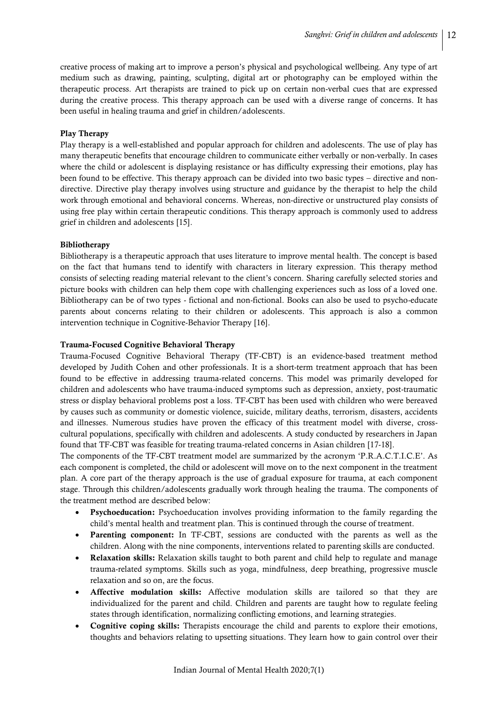creative process of making art to improve a person's physical and psychological wellbeing. Any type of art medium such as drawing, painting, sculpting, digital art or photography can be employed within the therapeutic process. Art therapists are trained to pick up on certain non-verbal cues that are expressed during the creative process. This therapy approach can be used with a diverse range of concerns. It has been useful in healing trauma and grief in children/adolescents.

# Play Therapy

Play therapy is a well-established and popular approach for children and adolescents. The use of play has many therapeutic benefits that encourage children to communicate either verbally or non-verbally. In cases where the child or adolescent is displaying resistance or has difficulty expressing their emotions, play has been found to be effective. This therapy approach can be divided into two basic types – directive and nondirective. Directive play therapy involves using structure and guidance by the therapist to help the child work through emotional and behavioral concerns. Whereas, non-directive or unstructured play consists of using free play within certain therapeutic conditions. This therapy approach is commonly used to address grief in children and adolescents [15].

## Bibliotherapy

Bibliotherapy is a therapeutic approach that uses literature to improve mental health. The concept is based on the fact that humans tend to identify with characters in literary expression. This therapy method consists of selecting reading material relevant to the client's concern. Sharing carefully selected stories and picture books with children can help them cope with challenging experiences such as loss of a loved one. Bibliotherapy can be of two types - fictional and non-fictional. Books can also be used to psycho-educate parents about concerns relating to their children or adolescents. This approach is also a common intervention technique in Cognitive-Behavior Therapy [16].

## Trauma-Focused Cognitive Behavioral Therapy

Trauma-Focused Cognitive Behavioral Therapy (TF-CBT) is an evidence-based treatment method developed by Judith Cohen and other professionals. It is a short-term treatment approach that has been found to be effective in addressing trauma-related concerns. This model was primarily developed for children and adolescents who have trauma-induced symptoms such as depression, anxiety, post-traumatic stress or display behavioral problems post a loss. TF-CBT has been used with children who were bereaved by causes such as community or domestic violence, suicide, military deaths, terrorism, disasters, accidents and illnesses. Numerous studies have proven the efficacy of this treatment model with diverse, crosscultural populations, specifically with children and adolescents. A study conducted by researchers in Japan found that TF-CBT was feasible for treating trauma-related concerns in Asian children [17-18].

The components of the TF-CBT treatment model are summarized by the acronym 'P.R.A.C.T.I.C.E'. As each component is completed, the child or adolescent will move on to the next component in the treatment plan. A core part of the therapy approach is the use of gradual exposure for trauma, at each component stage. Through this children/adolescents gradually work through healing the trauma. The components of the treatment method are described below:

- Psychoeducation: Psychoeducation involves providing information to the family regarding the child's mental health and treatment plan. This is continued through the course of treatment.
- Parenting component: In TF-CBT, sessions are conducted with the parents as well as the children. Along with the nine components, interventions related to parenting skills are conducted.
- Relaxation skills: Relaxation skills taught to both parent and child help to regulate and manage trauma-related symptoms. Skills such as yoga, mindfulness, deep breathing, progressive muscle relaxation and so on, are the focus.
- Affective modulation skills: Affective modulation skills are tailored so that they are individualized for the parent and child. Children and parents are taught how to regulate feeling states through identification, normalizing conflicting emotions, and learning strategies.
- Cognitive coping skills: Therapists encourage the child and parents to explore their emotions, thoughts and behaviors relating to upsetting situations. They learn how to gain control over their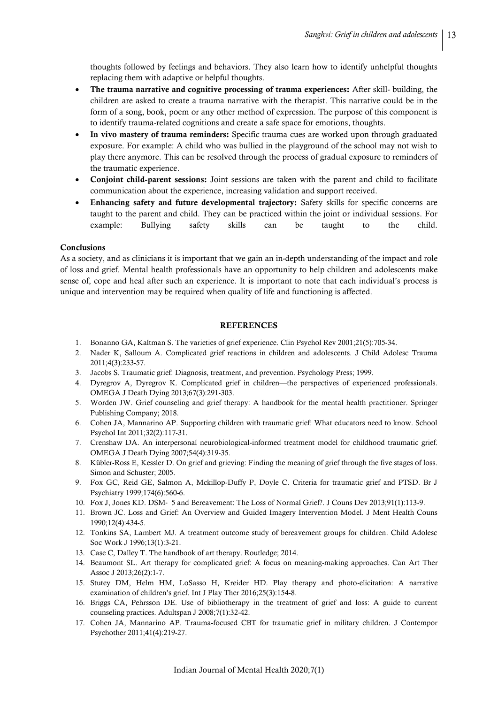thoughts followed by feelings and behaviors. They also learn how to identify unhelpful thoughts replacing them with adaptive or helpful thoughts.

- The trauma narrative and cognitive processing of trauma experiences: After skill- building, the children are asked to create a trauma narrative with the therapist. This narrative could be in the form of a song, book, poem or any other method of expression. The purpose of this component is to identify trauma-related cognitions and create a safe space for emotions, thoughts.
- In vivo mastery of trauma reminders: Specific trauma cues are worked upon through graduated exposure. For example: A child who was bullied in the playground of the school may not wish to play there anymore. This can be resolved through the process of gradual exposure to reminders of the traumatic experience.
- Conjoint child-parent sessions: Joint sessions are taken with the parent and child to facilitate communication about the experience, increasing validation and support received.
- Enhancing safety and future developmental trajectory: Safety skills for specific concerns are taught to the parent and child. They can be practiced within the joint or individual sessions. For example: Bullying safety skills can be taught to the child.

## Conclusions

As a society, and as clinicians it is important that we gain an in-depth understanding of the impact and role of loss and grief. Mental health professionals have an opportunity to help children and adolescents make sense of, cope and heal after such an experience. It is important to note that each individual's process is unique and intervention may be required when quality of life and functioning is affected.

#### REFERENCES

- 1. Bonanno GA, Kaltman S. The varieties of grief experience. Clin Psychol Rev 2001;21(5):705-34.
- 2. Nader K, Salloum A. Complicated grief reactions in children and adolescents. J Child Adolesc Trauma 2011;4(3):233-57.
- 3. Jacobs S. Traumatic grief: Diagnosis, treatment, and prevention. Psychology Press; 1999.
- 4. Dyregrov A, Dyregrov K. Complicated grief in children—the perspectives of experienced professionals. OMEGA J Death Dying 2013;67(3):291-303.
- 5. Worden JW. Grief counseling and grief therapy: A handbook for the mental health practitioner. Springer Publishing Company; 2018.
- 6. Cohen JA, Mannarino AP. Supporting children with traumatic grief: What educators need to know. School Psychol Int 2011;32(2):117-31.
- 7. Crenshaw DA. An interpersonal neurobiological-informed treatment model for childhood traumatic grief. OMEGA J Death Dying 2007;54(4):319-35.
- 8. Kübler-Ross E, Kessler D. On grief and grieving: Finding the meaning of grief through the five stages of loss. Simon and Schuster; 2005.
- 9. Fox GC, Reid GE, Salmon A, Mckillop-Duffy P, Doyle C. Criteria for traumatic grief and PTSD. Br J Psychiatry 1999;174(6):560-6.
- 10. Fox J, Jones KD. DSM‐ 5 and Bereavement: The Loss of Normal Grief?. J Couns Dev 2013;91(1):113-9.
- 11. Brown JC. Loss and Grief: An Overview and Guided Imagery Intervention Model. J Ment Health Couns 1990;12(4):434-5.
- 12. Tonkins SA, Lambert MJ. A treatment outcome study of bereavement groups for children. Child Adolesc Soc Work J 1996;13(1):3-21.
- 13. Case C, Dalley T. The handbook of art therapy. Routledge; 2014.
- 14. Beaumont SL. Art therapy for complicated grief: A focus on meaning-making approaches. Can Art Ther Assoc J 2013;26(2):1-7.
- 15. Stutey DM, Helm HM, LoSasso H, Kreider HD. Play therapy and photo-elicitation: A narrative examination of children's grief. Int J Play Ther 2016;25(3):154-8.
- 16. Briggs CA, Pehrsson DE. Use of bibliotherapy in the treatment of grief and loss: A guide to current counseling practices. Adultspan J 2008;7(1):32-42.
- 17. Cohen JA, Mannarino AP. Trauma-focused CBT for traumatic grief in military children. J Contempor Psychother 2011;41(4):219-27.